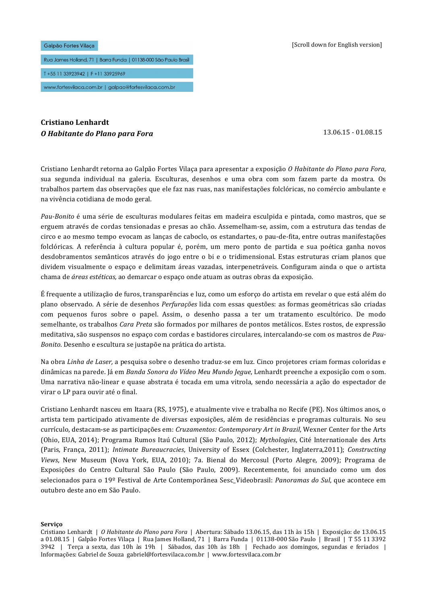#### Galpão Fortes Vilaca

Rua James Holland, 71 | Barra Funda | 01138-000 São Paulo Brasil

T+55 11 33923942 | F+11 33925969

www.fortesvilaca.com.br | galpao@fortesvilaca.com.br

# **Cristiano Lenhardt O** Habitante do Plano para Fora 13.06.15 - 01.08.15

Cristiano Lenhardt retorna ao Galpão Fortes Vilaça para apresentar a exposição O Habitante do Plano para Fora, sua segunda individual na galeria*.* Esculturas, desenhos e uma obra com som fazem parte da mostra. Os trabalhos partem das observações que ele faz nas ruas, nas manifestações folclóricas, no comércio ambulante e na vivência cotidiana de modo geral.

*Pau-Bonito* é uma série de esculturas modulares feitas em madeira esculpida e pintada, como mastros, que se erguem através de cordas tensionadas e presas ao chão. Assemelham-se, assim, com a estrutura das tendas de circo e ao mesmo tempo evocam as lanças de caboclo, os estandartes, o pau-de-fita, entre outras manifestações folclóricas. A referência à cultura popular é, porém, um mero ponto de partida e sua poética ganha novos desdobramentos semânticos através do jogo entre o bi e o tridimensional. Estas estruturas criam planos que dividem visualmente o espaço e delimitam áreas vazadas, interpenetráveis. Configuram ainda o que o artista chama de *áreas estéticas*, ao demarcar o espaço onde atuam as outras obras da exposição.

É frequente a utilização de furos, transparências e luz, como um esforço do artista em revelar o que está além do plano observado. A série de desenhos *Perfurações* lida com essas questões: as formas geométricas são criadas com pequenos furos sobre o papel. Assim, o desenho passa a ter um tratamento escultórico. De modo semelhante, os trabalhos *Cara Preta* são formados por milhares de pontos metálicos. Estes rostos, de expressão meditativa, são suspensos no espaço com cordas e bastidores circulares, intercalando-se com os mastros de Pau-*Bonito*. Desenho e escultura se justapõe na prática do artista.

Na obra *Linha de Laser*, a pesquisa sobre o desenho traduz-se em luz. Cinco projetores criam formas coloridas e dinâmicas na parede. Já em *Banda Sonora do Vídeo Meu Mundo Jegue*, Lenhardt preenche a exposição com o som. Uma narrativa não-linear e quase abstrata é tocada em uma vitrola, sendo necessária a ação do espectador de virar o LP para ouvir até o final.

Cristiano Lenhardt nasceu em Itaara (RS, 1975), e atualmente vive e trabalha no Recife (PE). Nos últimos anos, o artista tem participado ativamente de diversas exposições, além de residências e programas culturais. No seu currículo, destacam-se as participações em: *Cruzamentos: Contemporary Art in Brazil*, Wexner Center for the Arts (Ohio, EUA, 2014); Programa Rumos Itaú Cultural (São Paulo, 2012); *Mythologies*, Cité Internationale des Arts (Paris, França, 2011); *Intimate Bureaucracies*, University of Essex (Colchester, Inglaterra,2011); *Constructing* Views, New Museum (Nova York, EUA, 2010); 7a. Bienal do Mercosul (Porto Alegre, 2009); Programa de Exposições do Centro Cultural São Paulo (São Paulo, 2009). Recentemente, foi anunciado como um dos selecionados para o 19º Festival de Arte Contemporânea Sesc\_Videobrasil: *Panoramas do Sul*, que acontece em outubro deste ano em São Paulo.

### **Serviço**

Cristiano Lenhardt | O Habitante do Plano para Fora | Abertura: Sábado 13.06.15, das 11h às 15h | Exposição: de 13.06.15 a 01.08.15 | Galpão Fortes Vilaca | Rua James Holland, 71 | Barra Funda | 01138-000 São Paulo | Brasil | T 55 11 3392  $3942$  | Terça a sexta, das 10h às 19h | Sábados, das 10h às 18h | Fechado aos domingos, segundas e feriados | Informações: Gabriel de Souza gabriel@fortesvilaca.com.br | www.fortesvilaca.com.br